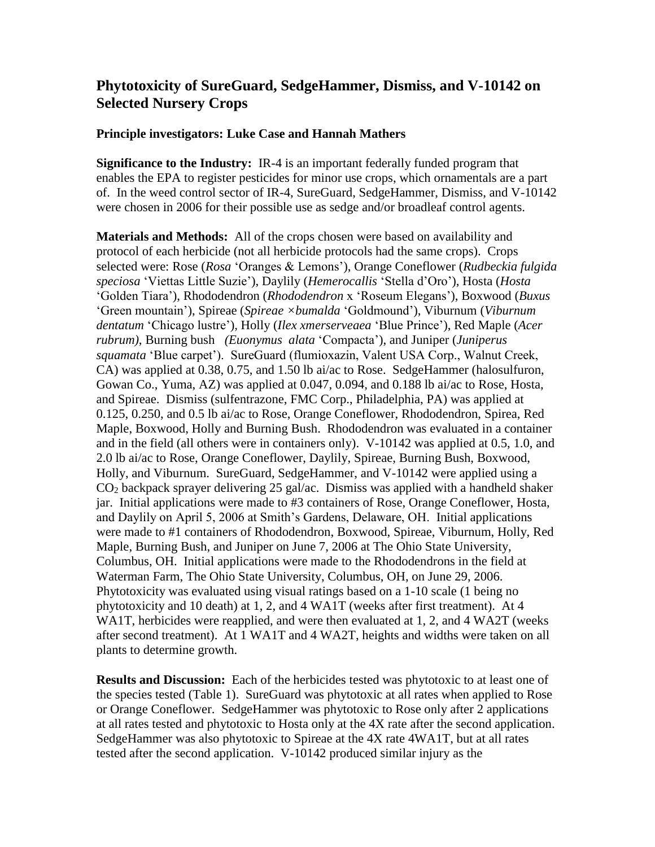# **Phytotoxicity of SureGuard, SedgeHammer, Dismiss, and V-10142 on Selected Nursery Crops**

#### **Principle investigators: Luke Case and Hannah Mathers**

**Significance to the Industry:** IR-4 is an important federally funded program that enables the EPA to register pesticides for minor use crops, which ornamentals are a part of. In the weed control sector of IR-4, SureGuard, SedgeHammer, Dismiss, and V-10142 were chosen in 2006 for their possible use as sedge and/or broadleaf control agents.

**Materials and Methods:** All of the crops chosen were based on availability and protocol of each herbicide (not all herbicide protocols had the same crops). Crops selected were: Rose (*Rosa* 'Oranges & Lemons'), Orange Coneflower (*Rudbeckia fulgida speciosa* 'Viettas Little Suzie'), Daylily (*Hemerocallis* 'Stella d'Oro'), Hosta (*Hosta* 'Golden Tiara'), Rhododendron (*Rhododendron* x 'Roseum Elegans'), Boxwood (*Buxus*  'Green mountain'), Spireae (*Spireae ×bumalda* 'Goldmound'), Viburnum (*Viburnum dentatum* 'Chicago lustre'), Holly (*Ilex xmerserveaea* 'Blue Prince'), Red Maple (*Acer rubrum)*, Burning bush *(Euonymus alata* 'Compacta'), and Juniper (*Juniperus squamata* 'Blue carpet'). SureGuard (flumioxazin, Valent USA Corp., Walnut Creek, CA) was applied at 0.38, 0.75, and 1.50 lb ai/ac to Rose. SedgeHammer (halosulfuron, Gowan Co., Yuma, AZ) was applied at 0.047, 0.094, and 0.188 lb ai/ac to Rose, Hosta, and Spireae. Dismiss (sulfentrazone, FMC Corp., Philadelphia, PA) was applied at 0.125, 0.250, and 0.5 lb ai/ac to Rose, Orange Coneflower, Rhododendron, Spirea, Red Maple, Boxwood, Holly and Burning Bush. Rhododendron was evaluated in a container and in the field (all others were in containers only). V-10142 was applied at 0.5, 1.0, and 2.0 lb ai/ac to Rose, Orange Coneflower, Daylily, Spireae, Burning Bush, Boxwood, Holly, and Viburnum. SureGuard, SedgeHammer, and V-10142 were applied using a CO<sup>2</sup> backpack sprayer delivering 25 gal/ac. Dismiss was applied with a handheld shaker jar. Initial applications were made to #3 containers of Rose, Orange Coneflower, Hosta, and Daylily on April 5, 2006 at Smith's Gardens, Delaware, OH. Initial applications were made to #1 containers of Rhododendron, Boxwood, Spireae, Viburnum, Holly, Red Maple, Burning Bush, and Juniper on June 7, 2006 at The Ohio State University, Columbus, OH. Initial applications were made to the Rhododendrons in the field at Waterman Farm, The Ohio State University, Columbus, OH, on June 29, 2006. Phytotoxicity was evaluated using visual ratings based on a 1-10 scale (1 being no phytotoxicity and 10 death) at 1, 2, and 4 WA1T (weeks after first treatment). At 4 WA1T, herbicides were reapplied, and were then evaluated at 1, 2, and 4 WA2T (weeks after second treatment). At 1 WA1T and 4 WA2T, heights and widths were taken on all plants to determine growth.

**Results and Discussion:** Each of the herbicides tested was phytotoxic to at least one of the species tested (Table 1). SureGuard was phytotoxic at all rates when applied to Rose or Orange Coneflower. SedgeHammer was phytotoxic to Rose only after 2 applications at all rates tested and phytotoxic to Hosta only at the 4X rate after the second application. SedgeHammer was also phytotoxic to Spireae at the 4X rate 4WA1T, but at all rates tested after the second application. V-10142 produced similar injury as the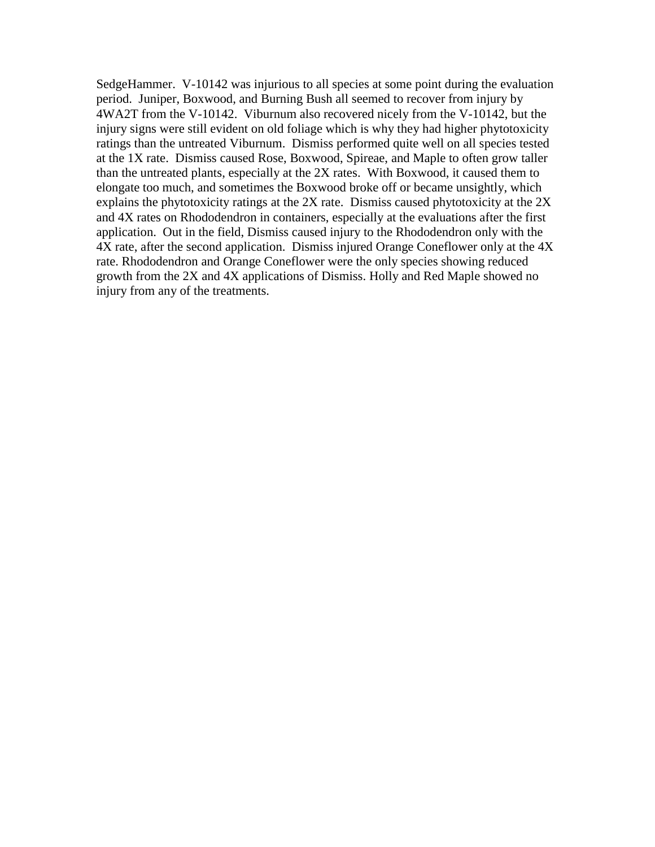SedgeHammer. V-10142 was injurious to all species at some point during the evaluation period. Juniper, Boxwood, and Burning Bush all seemed to recover from injury by 4WA2T from the V-10142. Viburnum also recovered nicely from the V-10142, but the injury signs were still evident on old foliage which is why they had higher phytotoxicity ratings than the untreated Viburnum. Dismiss performed quite well on all species tested at the 1X rate. Dismiss caused Rose, Boxwood, Spireae, and Maple to often grow taller than the untreated plants, especially at the 2X rates. With Boxwood, it caused them to elongate too much, and sometimes the Boxwood broke off or became unsightly, which explains the phytotoxicity ratings at the 2X rate. Dismiss caused phytotoxicity at the 2X and 4X rates on Rhododendron in containers, especially at the evaluations after the first application. Out in the field, Dismiss caused injury to the Rhododendron only with the 4X rate, after the second application. Dismiss injured Orange Coneflower only at the 4X rate. Rhododendron and Orange Coneflower were the only species showing reduced growth from the 2X and 4X applications of Dismiss. Holly and Red Maple showed no injury from any of the treatments.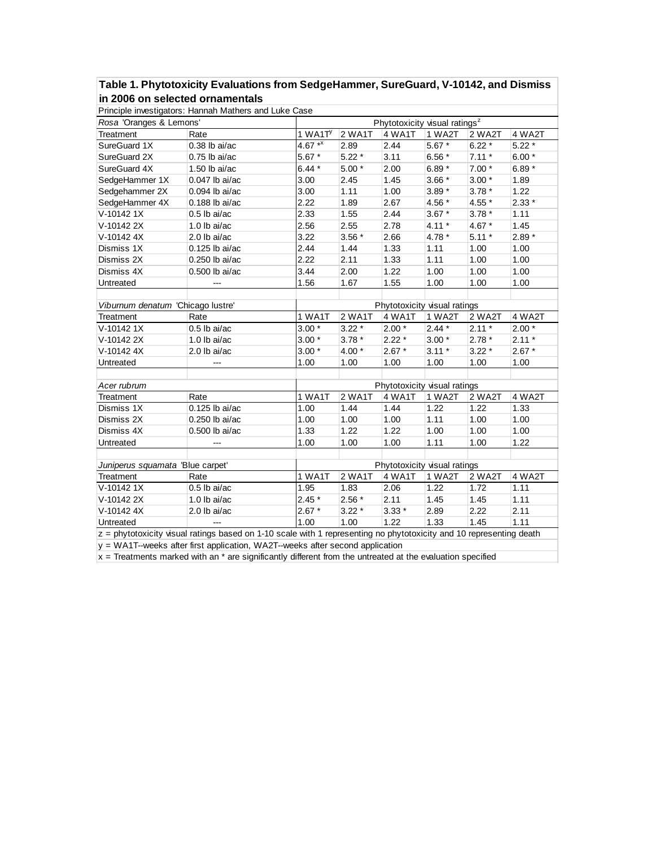## **Table 1. Phytotoxicity Evaluations from SedgeHammer, SureGuard, V-10142, and Dismiss in 2006 on selected ornamentals**

|                                                                                                                       | Principle investigators: Hannah Mathers and Luke Case |                                           |         |         |          |         |         |  |
|-----------------------------------------------------------------------------------------------------------------------|-------------------------------------------------------|-------------------------------------------|---------|---------|----------|---------|---------|--|
| Rosa 'Oranges & Lemons'                                                                                               |                                                       | Phytotoxicity visual ratings <sup>z</sup> |         |         |          |         |         |  |
| Treatment                                                                                                             | Rate                                                  | 1 WA1 $Ty$                                | 2 WA1T  | 4 WA1T  | 1 WA2T   | 2 WA2T  | 4 WA2T  |  |
| SureGuard 1X                                                                                                          | $0.38$ lb ai/ac                                       | 4.67 $*$ <sup>x</sup>                     | 2.89    | 2.44    | $5.67*$  | $6.22*$ | $5.22*$ |  |
| SureGuard 2X                                                                                                          | $0.75$ lb ai/ac                                       | $5.67*$                                   | $5.22*$ | 3.11    | 6.56 $*$ | $7.11*$ | $6.00*$ |  |
| SureGuard 4X                                                                                                          | $1.50$ lb ai/ac                                       | $6.44*$                                   | $5.00*$ | 2.00    | $6.89*$  | $7.00*$ | $6.89*$ |  |
| SedgeHammer 1X                                                                                                        | 0.047 lb ai/ac                                        | 3.00                                      | 2.45    | 1.45    | $3.66*$  | $3.00*$ | 1.89    |  |
| Sedgehammer 2X                                                                                                        | $0.094$ lb ai/ac                                      | 3.00                                      | 1.11    | 1.00    | $3.89*$  | $3.78*$ | 1.22    |  |
| SedgeHammer 4X                                                                                                        | $0.188$ lb ai/ac                                      | 2.22                                      | 1.89    | 2.67    | 4.56 *   | 4.55 *  | $2.33*$ |  |
| V-10142 1X                                                                                                            | $0.5$ lb ai/ac                                        | 2.33                                      | 1.55    | 2.44    | $3.67*$  | $3.78*$ | 1.11    |  |
| V-10142 2X                                                                                                            | $1.0$ lb ai/ac                                        | 2.56                                      | 2.55    | 2.78    | $4.11*$  | $4.67*$ | 1.45    |  |
| V-10142 4X                                                                                                            | $2.0$ lb ai/ac                                        | 3.22                                      | $3.56*$ | 2.66    | 4.78 *   | $5.11*$ | $2.89*$ |  |
| Dismiss 1X                                                                                                            | $0.125$ lb ai/ac                                      | 2.44                                      | 1.44    | 1.33    | 1.11     | 1.00    | 1.00    |  |
| Dismiss 2X                                                                                                            | $0.250$ lb ai/ac                                      | 2.22                                      | 2.11    | 1.33    | 1.11     | 1.00    | 1.00    |  |
| Dismiss 4X                                                                                                            | 0.500 lb ai/ac                                        | 3.44                                      | 2.00    | 1.22    | 1.00     | 1.00    | 1.00    |  |
| Untreated                                                                                                             |                                                       | 1.56                                      | 1.67    | 1.55    | 1.00     | 1.00    | 1.00    |  |
|                                                                                                                       |                                                       |                                           |         |         |          |         |         |  |
| Viburnum denatum 'Chicago lustre'                                                                                     |                                                       | Phytotoxicity visual ratings              |         |         |          |         |         |  |
| Treatment                                                                                                             | Rate                                                  | $\overline{1}$ WA1T                       | 2 WA1T  | 4 WA1T  | 1 WA2T   | 2 WA2T  | 4 WA2T  |  |
| V-10142 1X                                                                                                            | $0.5$ lb ai/ac                                        | $3.00*$                                   | $3.22*$ | $2.00*$ | $2.44*$  | $2.11*$ | $2.00*$ |  |
| V-10142 2X                                                                                                            | $1.0$ lb ai/ac                                        | $3.00*$                                   | $3.78*$ | $2.22*$ | $3.00*$  | $2.78*$ | $2.11*$ |  |
| V-10142 4X                                                                                                            | $2.0$ lb ai/ac                                        | $3.00*$                                   | $4.00*$ | $2.67*$ | $3.11*$  | $3.22*$ | $2.67*$ |  |
| Untreated                                                                                                             | ---                                                   | 1.00                                      | 1.00    | 1.00    | 1.00     | 1.00    | 1.00    |  |
|                                                                                                                       |                                                       |                                           |         |         |          |         |         |  |
| Acer rubrum                                                                                                           |                                                       | Phytotoxicity visual ratings              |         |         |          |         |         |  |
| Treatment                                                                                                             | Rate                                                  | 1 WA1T                                    | 2 WA1T  | 4 WA1T  | 1 WA2T   | 2 WA2T  | 4 WA2T  |  |
| Dismiss 1X                                                                                                            | $0.125$ lb ai/ac                                      | 1.00                                      | 1.44    | 1.44    | 1.22     | 1.22    | 1.33    |  |
| Dismiss 2X                                                                                                            | 0.250 lb ai/ac                                        | 1.00                                      | 1.00    | 1.00    | 1.11     | 1.00    | 1.00    |  |
| Dismiss 4X                                                                                                            | 0.500 lb ai/ac                                        | 1.33                                      | 1.22    | 1.22    | 1.00     | 1.00    | 1.00    |  |
| Untreated                                                                                                             |                                                       | 1.00                                      | 1.00    | 1.00    | 1.11     | 1.00    | 1.22    |  |
|                                                                                                                       |                                                       |                                           |         |         |          |         |         |  |
| Juniperus squamata 'Blue carpet'                                                                                      |                                                       | Phytotoxicity visual ratings              |         |         |          |         |         |  |
| Treatment                                                                                                             | Rate                                                  | 1 WA1T                                    | 2 WA1T  | 4 WA1T  | 1 WA2T   | 2 WA2T  | 4 WA2T  |  |
| V-10142 1X                                                                                                            | $0.5$ lb ai/ac                                        | 1.95                                      | 1.83    | 2.06    | 1.22     | 1.72    | 1.11    |  |
| V-10142 2X                                                                                                            | $1.0$ lb ai/ac                                        | $2.45*$                                   | $2.56*$ | 2.11    | 1.45     | 1.45    | 1.11    |  |
| V-10142 4X                                                                                                            | 2.0 lb ai/ac                                          | $2.67*$                                   | $3.22*$ | $3.33*$ | 2.89     | 2.22    | 2.11    |  |
| Untreated                                                                                                             | ---                                                   | 1.00                                      | 1.00    | 1.22    | 1.33     | 1.45    | 1.11    |  |
| $z =$ phytotoxicity visual ratings based on 1-10 scale with 1 representing no phytotoxicity and 10 representing death |                                                       |                                           |         |         |          |         |         |  |

y = WA1T--weeks after first application, WA2T--weeks after second application

 $x =$  Treatments marked with an  $*$  are significantly different from the untreated at the evaluation specified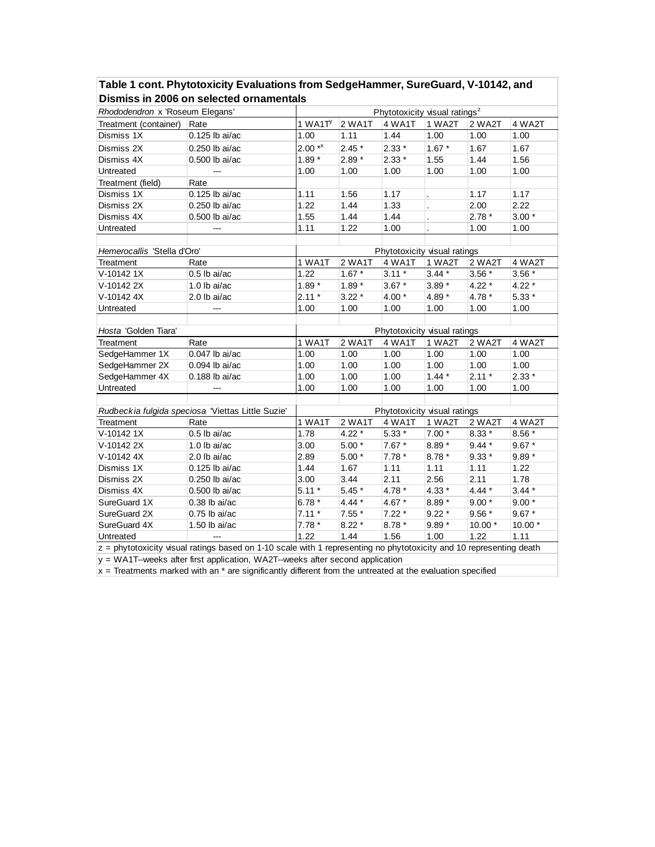|                                 | Dismiss in 2006 on selected ornamentals                                                                             |                              |         |                              |         |         |         |  |  |
|---------------------------------|---------------------------------------------------------------------------------------------------------------------|------------------------------|---------|------------------------------|---------|---------|---------|--|--|
| Rhododendron x 'Roseum Elegans' | Phytotoxicity visual ratings <sup>z</sup>                                                                           |                              |         |                              |         |         |         |  |  |
| Treatment (container)           | Rate                                                                                                                | 1 WA1 $Ty$                   | 2 WA1T  | 4 WA1T                       | 1 WA2T  | 2 WA2T  | 4 WA2T  |  |  |
| Dismiss 1X                      | 0.125 lb ai/ac                                                                                                      | 1.00                         | 1.11    | 1.44                         | 1.00    | 1.00    | 1.00    |  |  |
| Dismiss 2X                      | 0.250 lb ai/ac                                                                                                      | $2.00**$                     | $2.45*$ | $2.33*$                      | $1.67*$ | 1.67    | 1.67    |  |  |
| Dismiss 4X                      | 0.500 lb ai/ac                                                                                                      | $1.89*$                      | $2.89*$ | $2.33*$                      | 1.55    | 1.44    | 1.56    |  |  |
| Untreated                       |                                                                                                                     | 1.00                         | 1.00    | 1.00                         | 1.00    | 1.00    | 1.00    |  |  |
| Treatment (field)               | Rate                                                                                                                |                              |         |                              |         |         |         |  |  |
| Dismiss 1X                      | 0.125 lb ai/ac                                                                                                      | 1.11                         | 1.56    | 1.17                         |         | 1.17    | 1.17    |  |  |
| Dismiss 2X                      | 0.250 lb ai/ac                                                                                                      | 1.22                         | 1.44    | 1.33                         |         | 2.00    | 2.22    |  |  |
| Dismiss 4X                      | 0.500 lb ai/ac                                                                                                      | 1.55                         | 1.44    | 1.44                         |         | $2.78*$ | $3.00*$ |  |  |
| Untreated                       |                                                                                                                     | 1.11                         | 1.22    | 1.00                         |         | 1.00    | 1.00    |  |  |
|                                 |                                                                                                                     |                              |         |                              |         |         |         |  |  |
| Hemerocallis 'Stella d'Oro'     |                                                                                                                     | Phytotoxicity visual ratings |         |                              |         |         |         |  |  |
| Treatment                       | Rate                                                                                                                | 1 WA1T                       | 2 WA1T  | 4 WA1T                       | 1 WA2T  | 2 WA2T  | 4 WA2T  |  |  |
| V-10142 1X                      | $0.5$ lb ai/ac                                                                                                      | 1.22                         | $1.67*$ | $3.11*$                      | $3.44*$ | $3.56*$ | $3.56*$ |  |  |
| V-10142 2X                      | $1.0$ lb ai/ac                                                                                                      | $1.89*$                      | $1.89*$ | $3.67*$                      | $3.89*$ | $4.22*$ | $4.22*$ |  |  |
| V-10142 4X                      | $2.0$ lb ai/ac                                                                                                      | $2.11*$                      | $3.22*$ | $4.00*$                      | 4.89 *  | 4.78 *  | $5.33*$ |  |  |
| Untreated                       | ---                                                                                                                 | 1.00                         | 1.00    | 1.00                         | 1.00    | 1.00    | 1.00    |  |  |
|                                 |                                                                                                                     |                              |         |                              |         |         |         |  |  |
| Hosta 'Golden Tiara'            |                                                                                                                     | Phytotoxicity visual ratings |         |                              |         |         |         |  |  |
| Treatment                       | Rate                                                                                                                | 1 WA1T                       | 2 WA1T  | 4 WA1T                       | 1 WA2T  | 2 WA2T  | 4 WA2T  |  |  |
| SedgeHammer 1X                  | 0.047 lb ai/ac                                                                                                      | 1.00                         | 1.00    | 1.00                         | 1.00    | 1.00    | 1.00    |  |  |
| SedgeHammer 2X                  | 0.094 lb ai/ac                                                                                                      | 1.00                         | 1.00    | 1.00                         | 1.00    | 1.00    | 1.00    |  |  |
| SedgeHammer 4X                  | 0.188 lb ai/ac                                                                                                      | 1.00                         | 1.00    | 1.00                         | $1.44*$ | $2.11*$ | $2.33*$ |  |  |
| Untreated                       |                                                                                                                     | 1.00                         | 1.00    | 1.00                         | 1.00    | 1.00    | 1.00    |  |  |
|                                 |                                                                                                                     |                              |         |                              |         |         |         |  |  |
|                                 | Rudbeckia fulgida speciosa 'Viettas Little Suzie'                                                                   |                              |         | Phytotoxicity visual ratings |         |         |         |  |  |
| Treatment                       | Rate                                                                                                                | 1 WA1T                       | 2 WA1T  | 4 WA1T                       | 1 WA2T  | 2 WA2T  | 4 WA2T  |  |  |
| V-10142 1X                      | $0.5$ lb ai/ac                                                                                                      | 1.78                         | $4.22*$ | $5.33*$                      | $7.00*$ | $8.33*$ | 8.56 *  |  |  |
| V-10142 2X                      | $1.0$ lb ai/ac                                                                                                      | 3.00                         | $5.00*$ | $7.67*$                      | $8.89*$ | $9.44*$ | $9.67*$ |  |  |
| V-10142 4X                      | $2.0$ lb ai/ac                                                                                                      | 2.89                         | $5.00*$ | $7.78*$                      | $8.78*$ | $9.33*$ | $9.89*$ |  |  |
| Dismiss 1X                      | 0.125 lb ai/ac                                                                                                      | 1.44                         | 1.67    | 1.11                         | 1.11    | 1.11    | 1.22    |  |  |
| Dismiss 2X                      | 0.250 lb ai/ac                                                                                                      | 3.00                         | 3.44    | 2.11                         | 2.56    | 2.11    | 1.78    |  |  |
| Dismiss 4X                      | 0.500 lb ai/ac                                                                                                      | $5.11*$                      | $5.45*$ | 4.78 $*$                     | $4.33*$ | $4.44*$ | $3.44*$ |  |  |
| SureGuard 1X                    | $0.38$ lb ai/ac                                                                                                     | $6.78*$                      | $4.44*$ | 4.67 *                       | 8.89 *  | $9.00*$ | $9.00*$ |  |  |
| SureGuard 2X                    | $0.75$ lb ai/ac                                                                                                     | $7.11*$                      | $7.55*$ | $7.22*$                      | $9.22*$ | $9.56*$ | $9.67*$ |  |  |
| SureGuard 4X                    | 1.50 lb ai/ac                                                                                                       | $7.78*$                      | $8.22*$ | $8.78*$                      | $9.89*$ | 10.00 * | 10.00 * |  |  |
| Untreated                       |                                                                                                                     | 1.22                         | 1.44    | 1.56                         | 1.00    | 1.22    | 1.11    |  |  |
|                                 | z = phytotoxicity visual ratings based on 1-10 scale with 1 representing no phytotoxicity and 10 representing death |                              |         |                              |         |         |         |  |  |
|                                 | y = WA1T-weeks after first application, WA2T-weeks after second application                                         |                              |         |                              |         |         |         |  |  |

#### **Table 1 cont. Phytotoxicity Evaluations from SedgeHammer, SureGuard, V-10142, and Dismiss in 2006 on selected ornamentals**

 $x =$  Treatments marked with an  $*$  are significantly different from the untreated at the evaluation specified